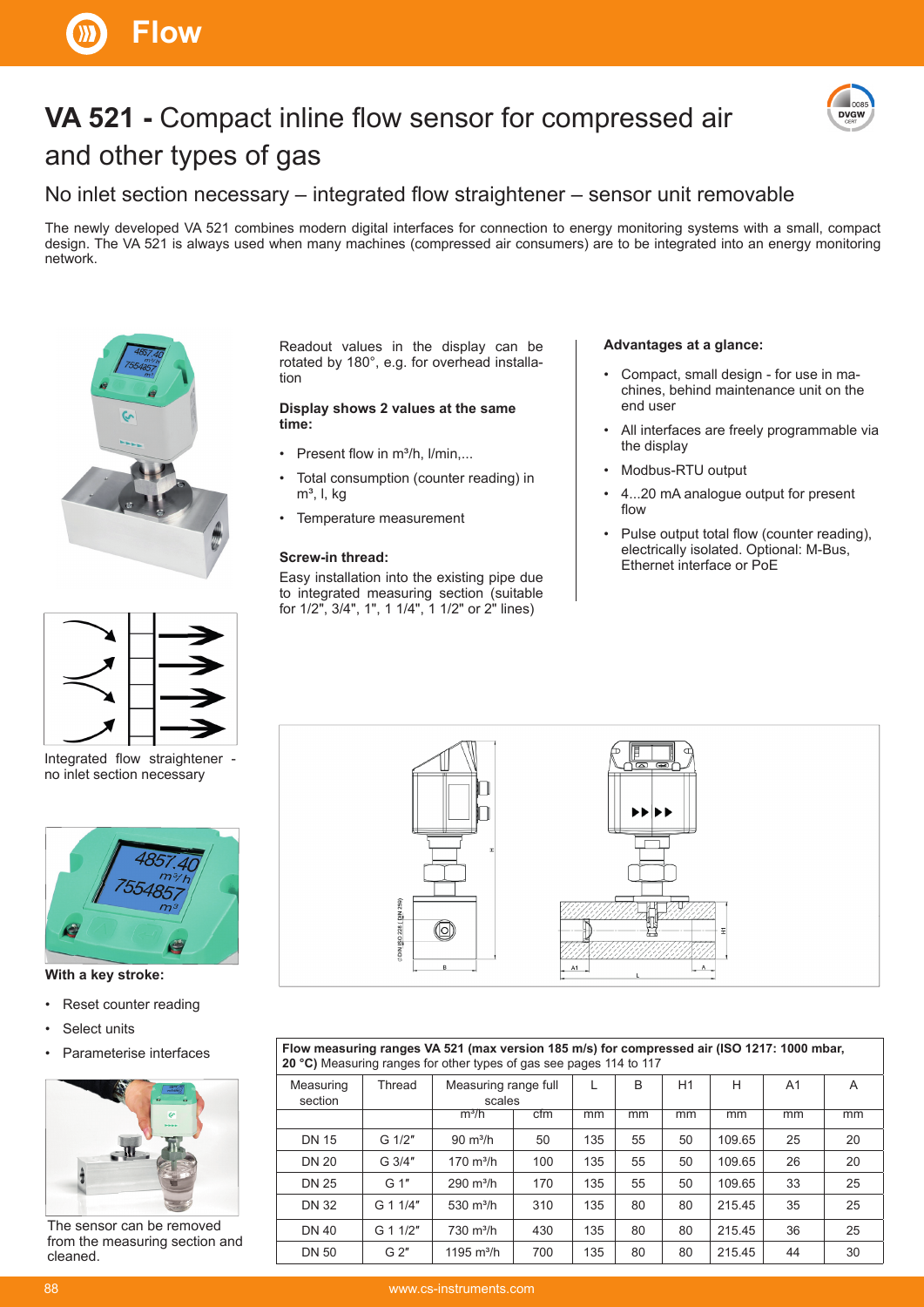

# **VA 521 - Compact inline flow sensor for compressed air** and other types of gas



### No inlet section necessary  $-$  integrated flow straightener  $-$  sensor unit removable

The newly developed VA 521 combines modern digital interfaces for connection to energy monitoring systems with a small, compact design. The VA 521 is always used when many machines (compressed air consumers) are to be integrated into an energy monitoring network.



Integrated flow straightener no inlet section necessary



**With a key stroke:**

- Reset counter reading
- Select units
- Parameterise interfaces



The sensor can be removed from the measuring section and cleaned.

Readout values in the display can be rotated by 180°, e.g. for overhead installation

#### **Display shows 2 values at the same time:**

- Present flow in m<sup>3</sup>/h, l/min....
- Total consumption (counter reading) in  $m<sup>3</sup>$ , l, kg
- Temperature measurement

#### **Screw-in thread:**

Easy installation into the existing pipe due to integrated measuring section (suitable for 1/2", 3/4", 1", 1 1/4", 1 1/2" or 2" lines)

#### **Advantages at a glance:**

- Compact, small design for use in machines, behind maintenance unit on the end user
- All interfaces are freely programmable via the display
- Modbus-RTU output
- 4...20 mA analogue output for present flow
- Pulse output total flow (counter reading), electrically isolated. Optional: M-Bus, Ethernet interface or PoE



**Flow measuring ranges VA 521 (max version 185 m/s) for compressed air (ISO 1217: 1000 mbar, 20 °C)** Measuring ranges for other types of gas see pages 114 to 117

| Measuring<br>section | Thread         | Measuring range full<br>scales |     | L   | B  | H1 | н      | A <sub>1</sub> | A  |
|----------------------|----------------|--------------------------------|-----|-----|----|----|--------|----------------|----|
|                      |                | $m^3/h$                        | cfm | mm  | mm | mm | mm     | mm             | mm |
| <b>DN 15</b>         | G 1/2"         | $90 \text{ m}^3/h$             | 50  | 135 | 55 | 50 | 109.65 | 25             | 20 |
| <b>DN 20</b>         | G 3/4"         | $170 \text{ m}^3/h$            | 100 | 135 | 55 | 50 | 109.65 | 26             | 20 |
| <b>DN 25</b>         | G 1"           | $290 \text{ m}^3/h$            | 170 | 135 | 55 | 50 | 109.65 | 33             | 25 |
| <b>DN 32</b>         | G 1 1/4"       | 530 $m^3/h$                    | 310 | 135 | 80 | 80 | 215.45 | 35             | 25 |
| <b>DN 40</b>         | G 1 1/2"       | $730 \text{ m}^3/h$            | 430 | 135 | 80 | 80 | 215.45 | 36             | 25 |
| <b>DN 50</b>         | G <sub>2</sub> | 1195 $m^3/h$                   | 700 | 135 | 80 | 80 | 215.45 | 44             | 30 |
|                      |                |                                |     |     |    |    |        |                |    |